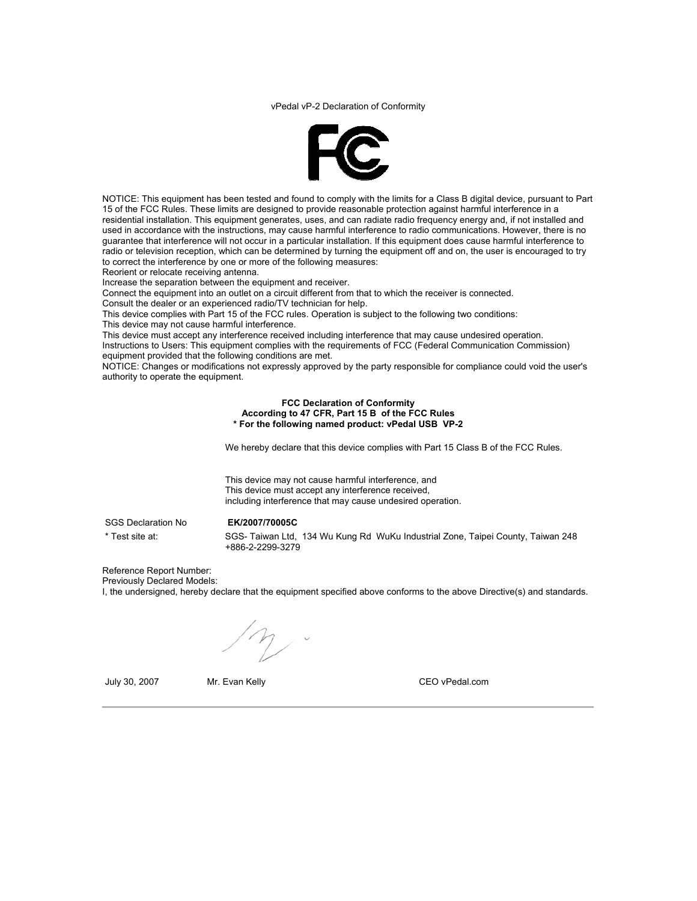vPedal vP-2 Declaration of Conformity



NOTICE: This equipment has been tested and found to comply with the limits for a Class B digital device, pursuant to Part 15 of the FCC Rules. These limits are designed to provide reasonable protection against harmful interference in a residential installation. This equipment generates, uses, and can radiate radio frequency energy and, if not installed and used in accordance with the instructions, may cause harmful interference to radio communications. However, there is no guarantee that interference will not occur in a particular installation. If this equipment does cause harmful interference to radio or television reception, which can be determined by turning the equipment off and on, the user is encouraged to try to correct the interference by one or more of the following measures:

Reorient or relocate receiving antenna.

Increase the separation between the equipment and receiver.

Connect the equipment into an outlet on a circuit different from that to which the receiver is connected.

Consult the dealer or an experienced radio/TV technician for help.

This device complies with Part 15 of the FCC rules. Operation is subject to the following two conditions:

This device may not cause harmful interference.

This device must accept any interference received including interference that may cause undesired operation. Instructions to Users: This equipment complies with the requirements of FCC (Federal Communication Commission) equipment provided that the following conditions are met.

NOTICE: Changes or modifications not expressly approved by the party responsible for compliance could void the user's authority to operate the equipment.

> **FCC Declaration of Conformity According to 47 CFR, Part 15 B of the FCC Rules \* For the following named product: vPedal USB VP-2**

We hereby declare that this device complies with Part 15 Class B of the FCC Rules.

This device may not cause harmful interference, and This device must accept any interference received, including interference that may cause undesired operation.

SGS Declaration No **EK/2007/70005C** 

\* Test site at: SGS- Taiwan Ltd, 134 Wu Kung Rd WuKu Industrial Zone, Taipei County, Taiwan 248 +886-2-2299-3279

Reference Report Number: Previously Declared Models:

I, the undersigned, hereby declare that the equipment specified above conforms to the above Directive(s) and standards.

July 30, 2007 Mr. Evan Kelly CEO vPedal.com